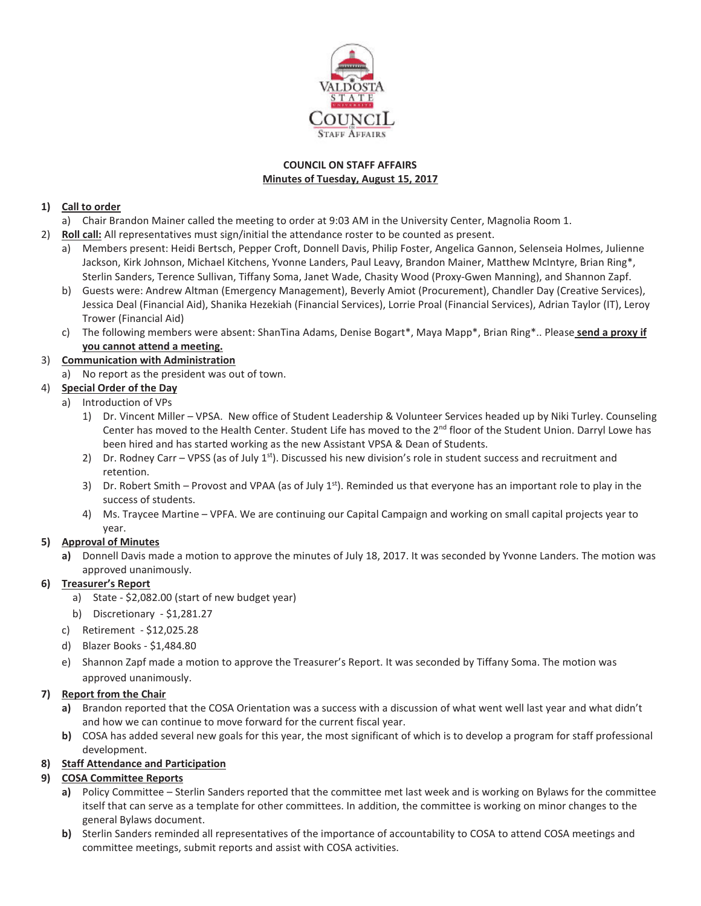

### **COUNCIL ON STAFF AFFAIRS Minutes of Tuesday, August 15, 2017**

### **1) Call to order**

- a) Chair Brandon Mainer called the meeting to order at 9:03 AM in the University Center, Magnolia Room 1.
- 2) **Roll call:** All representatives must sign/initial the attendance roster to be counted as present.
	- a) Members present: Heidi Bertsch, Pepper Croft, Donnell Davis, Philip Foster, Angelica Gannon, Selenseia Holmes, Julienne Jackson, Kirk Johnson, Michael Kitchens, Yvonne Landers, Paul Leavy, Brandon Mainer, Matthew McIntyre, Brian Ring\*, Sterlin Sanders, Terence Sullivan, Tiffany Soma, Janet Wade, Chasity Wood (Proxy-Gwen Manning), and Shannon Zapf.
	- b) Guests were: Andrew Altman (Emergency Management), Beverly Amiot (Procurement), Chandler Day (Creative Services), Jessica Deal (Financial Aid), Shanika Hezekiah (Financial Services), Lorrie Proal (Financial Services), Adrian Taylor (IT), Leroy Trower (Financial Aid)
	- c) The following members were absent: ShanTina Adams, Denise Bogart\*, Maya Mapp\*, Brian Ring\*.. Please **send a proxy if you cannot attend a meeting.**

# 3) **Communication with Administration**

a) No report as the president was out of town.

## 4) **Special Order of the Day**

- a) Introduction of VPs
	- 1) Dr. Vincent Miller VPSA. New office of Student Leadership & Volunteer Services headed up by Niki Turley. Counseling Center has moved to the Health Center. Student Life has moved to the 2<sup>nd</sup> floor of the Student Union. Darryl Lowe has been hired and has started working as the new Assistant VPSA & Dean of Students.
	- 2) Dr. Rodney Carr VPSS (as of July 1<sup>st</sup>). Discussed his new division's role in student success and recruitment and retention.
	- 3) Dr. Robert Smith Provost and VPAA (as of July  $1<sup>st</sup>$ ). Reminded us that everyone has an important role to play in the success of students.
	- 4) Ms. Traycee Martine VPFA. We are continuing our Capital Campaign and working on small capital projects year to year.

# **5) Approval of Minutes**

**a)** Donnell Davis made a motion to approve the minutes of July 18, 2017. It was seconded by Yvonne Landers. The motion was approved unanimously.

### **6) Treasurer's Report**

- a) State \$2,082.00 (start of new budget year)
- b) Discretionary \$1,281.27
- c) Retirement \$12,025.28
- d) Blazer Books \$1,484.80
- e) Shannon Zapf made a motion to approve the Treasurer's Report. It was seconded by Tiffany Soma. The motion was approved unanimously.

### **7) Report from the Chair**

- **a)** Brandon reported that the COSA Orientation was a success with a discussion of what went well last year and what didn't and how we can continue to move forward for the current fiscal year.
- **b)** COSA has added several new goals for this year, the most significant of which is to develop a program for staff professional development.

### **8) Staff Attendance and Participation**

# **9) COSA Committee Reports**

- **a)** Policy Committee Sterlin Sanders reported that the committee met last week and is working on Bylaws for the committee itself that can serve as a template for other committees. In addition, the committee is working on minor changes to the general Bylaws document.
- **b)** Sterlin Sanders reminded all representatives of the importance of accountability to COSA to attend COSA meetings and committee meetings, submit reports and assist with COSA activities.